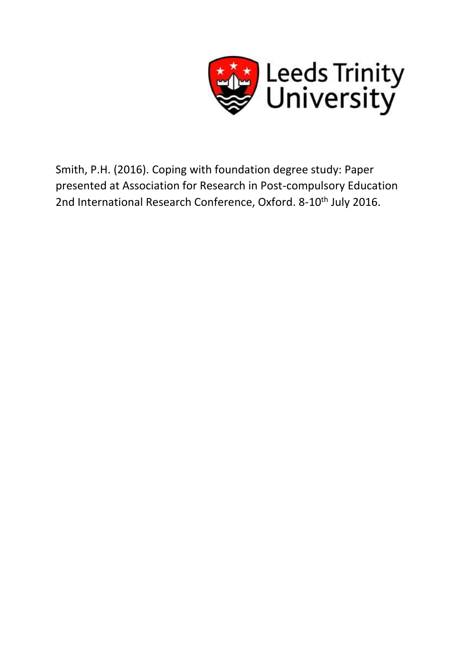

Smith, P.H. (2016). Coping with foundation degree study: Paper presented at Association for Research in Post-compulsory Education 2nd International Research Conference, Oxford. 8-10<sup>th</sup> July 2016.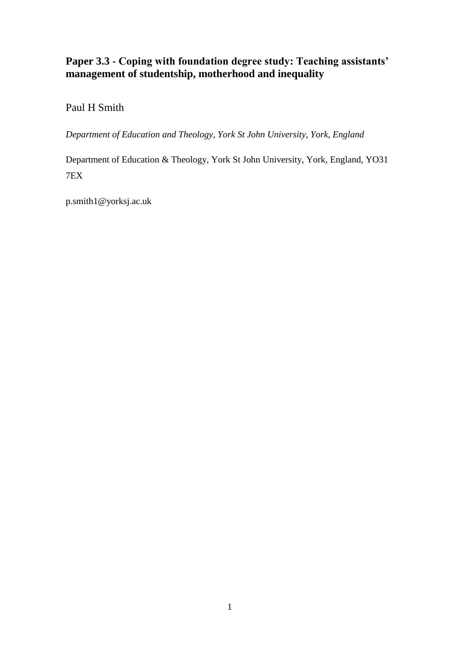# **Paper 3.3 - Coping with foundation degree study: Teaching assistants' management of studentship, motherhood and inequality**

Paul H Smith

*Department of Education and Theology, York St John University, York, England*

Department of Education & Theology, York St John University, York, England, YO31 7EX

p.smith1@yorksj.ac.uk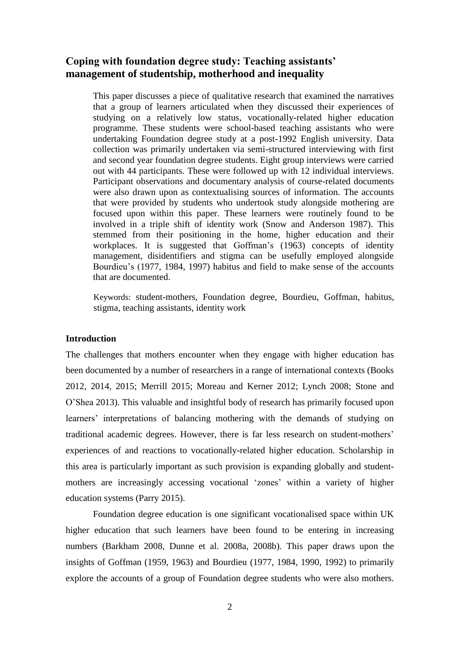## **Coping with foundation degree study: Teaching assistants' management of studentship, motherhood and inequality**

This paper discusses a piece of qualitative research that examined the narratives that a group of learners articulated when they discussed their experiences of studying on a relatively low status, vocationally-related higher education programme. These students were school-based teaching assistants who were undertaking Foundation degree study at a post-1992 English university. Data collection was primarily undertaken via semi-structured interviewing with first and second year foundation degree students. Eight group interviews were carried out with 44 participants. These were followed up with 12 individual interviews. Participant observations and documentary analysis of course-related documents were also drawn upon as contextualising sources of information. The accounts that were provided by students who undertook study alongside mothering are focused upon within this paper. These learners were routinely found to be involved in a triple shift of identity work (Snow and Anderson 1987). This stemmed from their positioning in the home, higher education and their workplaces. It is suggested that Goffman's (1963) concepts of identity management, disidentifiers and stigma can be usefully employed alongside Bourdieu's (1977, 1984, 1997) habitus and field to make sense of the accounts that are documented.

Keywords: student-mothers, Foundation degree, Bourdieu, Goffman, habitus, stigma, teaching assistants, identity work

#### **Introduction**

The challenges that mothers encounter when they engage with higher education has been documented by a number of researchers in a range of international contexts (Books 2012, 2014, 2015; Merrill 2015; Moreau and Kerner 2012; Lynch 2008; Stone and O'Shea 2013). This valuable and insightful body of research has primarily focused upon learners' interpretations of balancing mothering with the demands of studying on traditional academic degrees. However, there is far less research on student-mothers' experiences of and reactions to vocationally-related higher education. Scholarship in this area is particularly important as such provision is expanding globally and studentmothers are increasingly accessing vocational 'zones' within a variety of higher education systems (Parry 2015).

Foundation degree education is one significant vocationalised space within UK higher education that such learners have been found to be entering in increasing numbers (Barkham 2008, Dunne et al. 2008a, 2008b). This paper draws upon the insights of Goffman (1959, 1963) and Bourdieu (1977, 1984, 1990, 1992) to primarily explore the accounts of a group of Foundation degree students who were also mothers.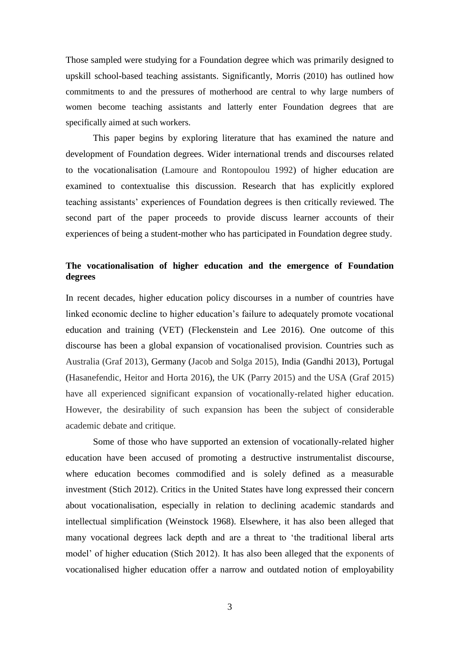Those sampled were studying for a Foundation degree which was primarily designed to upskill school-based teaching assistants. Significantly, Morris (2010) has outlined how commitments to and the pressures of motherhood are central to why large numbers of women become teaching assistants and latterly enter Foundation degrees that are specifically aimed at such workers.

This paper begins by exploring literature that has examined the nature and development of Foundation degrees. Wider international trends and discourses related to the vocationalisation (Lamoure and Rontopoulou 1992) of higher education are examined to contextualise this discussion. Research that has explicitly explored teaching assistants' experiences of Foundation degrees is then critically reviewed. The second part of the paper proceeds to provide discuss learner accounts of their experiences of being a student-mother who has participated in Foundation degree study.

### **The vocationalisation of higher education and the emergence of Foundation degrees**

In recent decades, higher education policy discourses in a number of countries have linked economic decline to higher education's failure to adequately promote vocational education and training (VET) (Fleckenstein and Lee 2016). One outcome of this discourse has been a global expansion of vocationalised provision. Countries such as Australia (Graf 2013), Germany (Jacob and Solga 2015), India (Gandhi 2013), Portugal (Hasanefendic, Heitor and Horta 2016), the UK (Parry 2015) and the USA (Graf 2015) have all experienced significant expansion of vocationally-related higher education. However, the desirability of such expansion has been the subject of considerable academic debate and critique.

Some of those who have supported an extension of vocationally-related higher education have been accused of promoting a destructive instrumentalist discourse, where education becomes commodified and is solely defined as a measurable investment (Stich 2012). Critics in the United States have long expressed their concern about vocationalisation, especially in relation to declining academic standards and intellectual simplification (Weinstock 1968). Elsewhere, it has also been alleged that many vocational degrees lack depth and are a threat to 'the traditional liberal arts model' of higher education (Stich 2012). It has also been alleged that the exponents of vocationalised higher education offer a narrow and outdated notion of employability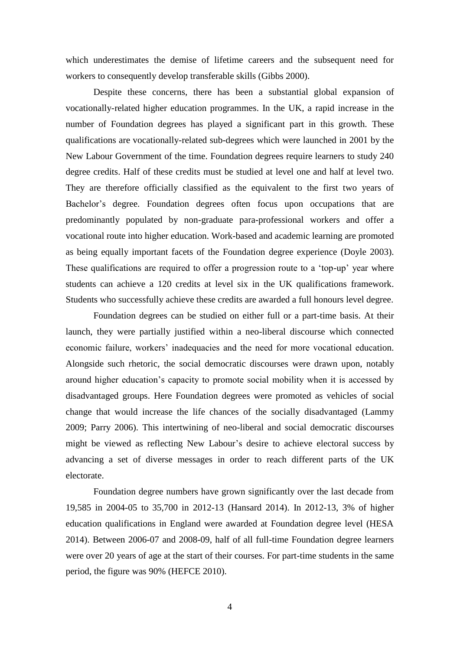which underestimates the demise of lifetime careers and the subsequent need for workers to consequently develop transferable skills (Gibbs 2000).

Despite these concerns, there has been a substantial global expansion of vocationally-related higher education programmes. In the UK, a rapid increase in the number of Foundation degrees has played a significant part in this growth. These qualifications are vocationally-related sub-degrees which were launched in 2001 by the New Labour Government of the time. Foundation degrees require learners to study 240 degree credits. Half of these credits must be studied at level one and half at level two. They are therefore officially classified as the equivalent to the first two years of Bachelor's degree. Foundation degrees often focus upon occupations that are predominantly populated by non-graduate para-professional workers and offer a vocational route into higher education. Work-based and academic learning are promoted as being equally important facets of the Foundation degree experience (Doyle 2003). These qualifications are required to offer a progression route to a 'top-up' year where students can achieve a 120 credits at level six in the UK qualifications framework. Students who successfully achieve these credits are awarded a full honours level degree.

Foundation degrees can be studied on either full or a part-time basis. At their launch, they were partially justified within a neo-liberal discourse which connected economic failure, workers' inadequacies and the need for more vocational education. Alongside such rhetoric, the social democratic discourses were drawn upon, notably around higher education's capacity to promote social mobility when it is accessed by disadvantaged groups. Here Foundation degrees were promoted as vehicles of social change that would increase the life chances of the socially disadvantaged (Lammy 2009; Parry 2006). This intertwining of neo-liberal and social democratic discourses might be viewed as reflecting New Labour's desire to achieve electoral success by advancing a set of diverse messages in order to reach different parts of the UK electorate.

Foundation degree numbers have grown significantly over the last decade from 19,585 in 2004-05 to 35,700 in 2012-13 (Hansard 2014). In 2012-13, 3% of higher education qualifications in England were awarded at Foundation degree level (HESA 2014). Between 2006-07 and 2008-09, half of all full-time Foundation degree learners were over 20 years of age at the start of their courses. For part-time students in the same period, the figure was 90% (HEFCE 2010).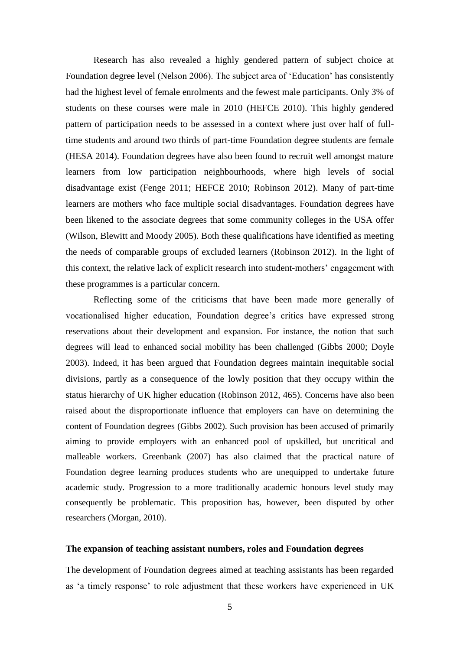Research has also revealed a highly gendered pattern of subject choice at Foundation degree level (Nelson 2006). The subject area of 'Education' has consistently had the highest level of female enrolments and the fewest male participants. Only 3% of students on these courses were male in 2010 (HEFCE 2010). This highly gendered pattern of participation needs to be assessed in a context where just over half of fulltime students and around two thirds of part-time Foundation degree students are female (HESA 2014). Foundation degrees have also been found to recruit well amongst mature learners from low participation neighbourhoods, where high levels of social disadvantage exist (Fenge 2011; HEFCE 2010; Robinson 2012). Many of part-time learners are mothers who face multiple social disadvantages. Foundation degrees have been likened to the associate degrees that some community colleges in the USA offer (Wilson, Blewitt and Moody 2005). Both these qualifications have identified as meeting the needs of comparable groups of excluded learners (Robinson 2012). In the light of this context, the relative lack of explicit research into student-mothers' engagement with these programmes is a particular concern.

Reflecting some of the criticisms that have been made more generally of vocationalised higher education, Foundation degree's critics have expressed strong reservations about their development and expansion. For instance, the notion that such degrees will lead to enhanced social mobility has been challenged (Gibbs 2000; Doyle 2003). Indeed, it has been argued that Foundation degrees maintain inequitable social divisions, partly as a consequence of the lowly position that they occupy within the status hierarchy of UK higher education (Robinson 2012, 465). Concerns have also been raised about the disproportionate influence that employers can have on determining the content of Foundation degrees (Gibbs 2002). Such provision has been accused of primarily aiming to provide employers with an enhanced pool of upskilled, but uncritical and malleable workers. Greenbank (2007) has also claimed that the practical nature of Foundation degree learning produces students who are unequipped to undertake future academic study. Progression to a more traditionally academic honours level study may consequently be problematic. This proposition has, however, been disputed by other researchers (Morgan, 2010).

#### **The expansion of teaching assistant numbers, roles and Foundation degrees**

The development of Foundation degrees aimed at teaching assistants has been regarded as 'a timely response' to role adjustment that these workers have experienced in UK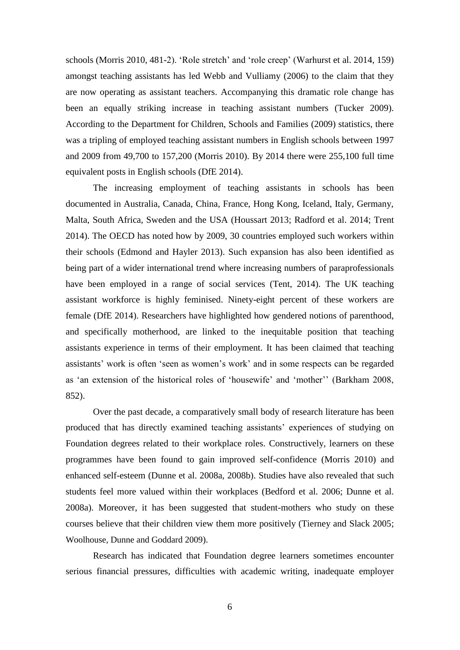schools (Morris 2010, 481-2). 'Role stretch' and 'role creep' (Warhurst et al. 2014, 159) amongst teaching assistants has led Webb and Vulliamy (2006) to the claim that they are now operating as assistant teachers. Accompanying this dramatic role change has been an equally striking increase in teaching assistant numbers (Tucker 2009). According to the Department for Children, Schools and Families (2009) statistics, there was a tripling of employed teaching assistant numbers in English schools between 1997 and 2009 from 49,700 to 157,200 (Morris 2010). By 2014 there were 255,100 full time equivalent posts in English schools (DfE 2014).

The increasing employment of teaching assistants in schools has been documented in Australia, Canada, China, France, Hong Kong, Iceland, Italy, Germany, Malta, South Africa, Sweden and the USA (Houssart 2013; Radford et al. 2014; Trent 2014). The OECD has noted how by 2009, 30 countries employed such workers within their schools (Edmond and Hayler 2013). Such expansion has also been identified as being part of a wider international trend where increasing numbers of paraprofessionals have been employed in a range of social services (Tent, 2014). The UK teaching assistant workforce is highly feminised. Ninety-eight percent of these workers are female (DfE 2014). Researchers have highlighted how gendered notions of parenthood, and specifically motherhood, are linked to the inequitable position that teaching assistants experience in terms of their employment. It has been claimed that teaching assistants' work is often 'seen as women's work' and in some respects can be regarded as 'an extension of the historical roles of 'housewife' and 'mother'' (Barkham 2008, 852).

Over the past decade, a comparatively small body of research literature has been produced that has directly examined teaching assistants' experiences of studying on Foundation degrees related to their workplace roles. Constructively, learners on these programmes have been found to gain improved self-confidence (Morris 2010) and enhanced self-esteem (Dunne et al. 2008a, 2008b). Studies have also revealed that such students feel more valued within their workplaces (Bedford et al. 2006; Dunne et al. 2008a). Moreover, it has been suggested that student-mothers who study on these courses believe that their children view them more positively (Tierney and Slack 2005; Woolhouse, Dunne and Goddard 2009).

Research has indicated that Foundation degree learners sometimes encounter serious financial pressures, difficulties with academic writing, inadequate employer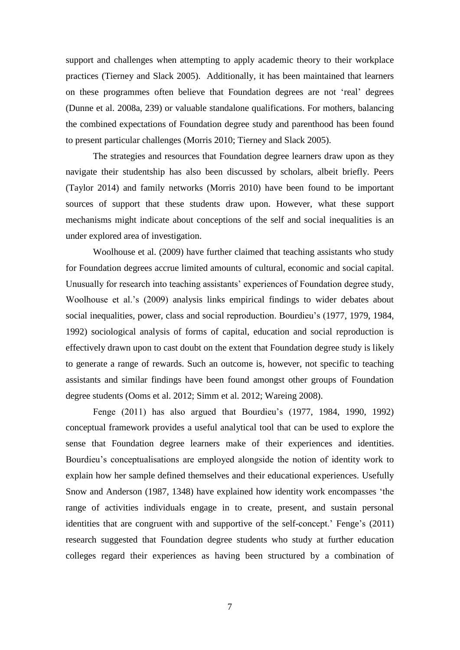support and challenges when attempting to apply academic theory to their workplace practices (Tierney and Slack 2005). Additionally, it has been maintained that learners on these programmes often believe that Foundation degrees are not 'real' degrees (Dunne et al. 2008a, 239) or valuable standalone qualifications. For mothers, balancing the combined expectations of Foundation degree study and parenthood has been found to present particular challenges (Morris 2010; Tierney and Slack 2005).

The strategies and resources that Foundation degree learners draw upon as they navigate their studentship has also been discussed by scholars, albeit briefly. Peers (Taylor 2014) and family networks (Morris 2010) have been found to be important sources of support that these students draw upon. However, what these support mechanisms might indicate about conceptions of the self and social inequalities is an under explored area of investigation.

Woolhouse et al. (2009) have further claimed that teaching assistants who study for Foundation degrees accrue limited amounts of cultural, economic and social capital. Unusually for research into teaching assistants' experiences of Foundation degree study, Woolhouse et al.'s (2009) analysis links empirical findings to wider debates about social inequalities, power, class and social reproduction. Bourdieu's (1977, 1979, 1984, 1992) sociological analysis of forms of capital, education and social reproduction is effectively drawn upon to cast doubt on the extent that Foundation degree study is likely to generate a range of rewards. Such an outcome is, however, not specific to teaching assistants and similar findings have been found amongst other groups of Foundation degree students (Ooms et al. 2012; Simm et al. 2012; Wareing 2008).

Fenge (2011) has also argued that Bourdieu's (1977, 1984, 1990, 1992) conceptual framework provides a useful analytical tool that can be used to explore the sense that Foundation degree learners make of their experiences and identities. Bourdieu's conceptualisations are employed alongside the notion of identity work to explain how her sample defined themselves and their educational experiences. Usefully Snow and Anderson (1987, 1348) have explained how identity work encompasses 'the range of activities individuals engage in to create, present, and sustain personal identities that are congruent with and supportive of the self-concept.' Fenge's (2011) research suggested that Foundation degree students who study at further education colleges regard their experiences as having been structured by a combination of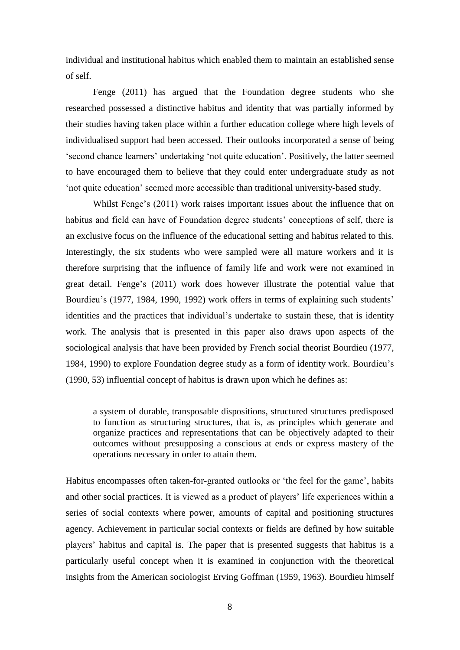individual and institutional habitus which enabled them to maintain an established sense of self.

Fenge (2011) has argued that the Foundation degree students who she researched possessed a distinctive habitus and identity that was partially informed by their studies having taken place within a further education college where high levels of individualised support had been accessed. Their outlooks incorporated a sense of being 'second chance learners' undertaking 'not quite education'. Positively, the latter seemed to have encouraged them to believe that they could enter undergraduate study as not 'not quite education' seemed more accessible than traditional university-based study.

Whilst Fenge's (2011) work raises important issues about the influence that on habitus and field can have of Foundation degree students' conceptions of self, there is an exclusive focus on the influence of the educational setting and habitus related to this. Interestingly, the six students who were sampled were all mature workers and it is therefore surprising that the influence of family life and work were not examined in great detail. Fenge's (2011) work does however illustrate the potential value that Bourdieu's (1977, 1984, 1990, 1992) work offers in terms of explaining such students' identities and the practices that individual's undertake to sustain these, that is identity work. The analysis that is presented in this paper also draws upon aspects of the sociological analysis that have been provided by French social theorist Bourdieu (1977, 1984, 1990) to explore Foundation degree study as a form of identity work. Bourdieu's (1990, 53) influential concept of habitus is drawn upon which he defines as:

a system of durable, transposable dispositions, structured structures predisposed to function as structuring structures, that is, as principles which generate and organize practices and representations that can be objectively adapted to their outcomes without presupposing a conscious at ends or express mastery of the operations necessary in order to attain them.

Habitus encompasses often taken-for-granted outlooks or 'the feel for the game', habits and other social practices. It is viewed as a product of players' life experiences within a series of social contexts where power, amounts of capital and positioning structures agency. Achievement in particular social contexts or fields are defined by how suitable players' habitus and capital is. The paper that is presented suggests that habitus is a particularly useful concept when it is examined in conjunction with the theoretical insights from the American sociologist Erving Goffman (1959, 1963). Bourdieu himself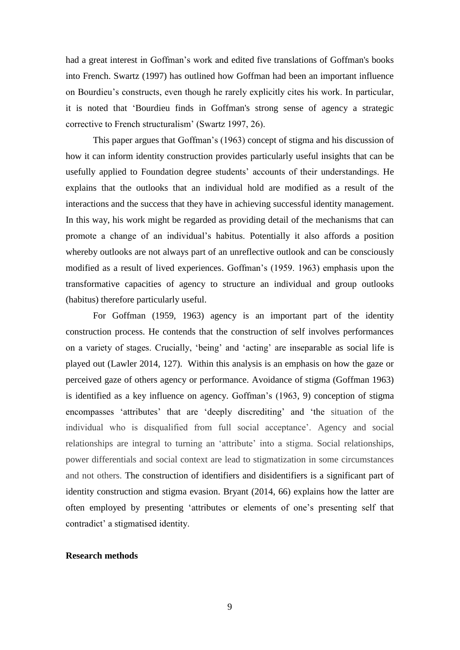had a great interest in Goffman's work and edited five translations of Goffman's books into French. Swartz (1997) has outlined how Goffman had been an important influence on Bourdieu's constructs, even though he rarely explicitly cites his work. In particular, it is noted that 'Bourdieu finds in Goffman's strong sense of agency a strategic corrective to French structuralism' (Swartz 1997, 26).

This paper argues that Goffman's (1963) concept of stigma and his discussion of how it can inform identity construction provides particularly useful insights that can be usefully applied to Foundation degree students' accounts of their understandings. He explains that the outlooks that an individual hold are modified as a result of the interactions and the success that they have in achieving successful identity management. In this way, his work might be regarded as providing detail of the mechanisms that can promote a change of an individual's habitus. Potentially it also affords a position whereby outlooks are not always part of an unreflective outlook and can be consciously modified as a result of lived experiences. Goffman's (1959. 1963) emphasis upon the transformative capacities of agency to structure an individual and group outlooks (habitus) therefore particularly useful.

For Goffman (1959, 1963) agency is an important part of the identity construction process. He contends that the construction of self involves performances on a variety of stages. Crucially, 'being' and 'acting' are inseparable as social life is played out (Lawler 2014, 127). Within this analysis is an emphasis on how the gaze or perceived gaze of others agency or performance. Avoidance of stigma (Goffman 1963) is identified as a key influence on agency. Goffman's (1963, 9) conception of stigma encompasses 'attributes' that are 'deeply discrediting' and 'the situation of the individual who is disqualified from full social acceptance'. Agency and social relationships are integral to turning an 'attribute' into a stigma. Social relationships, power differentials and social context are lead to stigmatization in some circumstances and not others. The construction of identifiers and disidentifiers is a significant part of identity construction and stigma evasion. Bryant (2014, 66) explains how the latter are often employed by presenting 'attributes or elements of one's presenting self that contradict' a stigmatised identity.

#### **Research methods**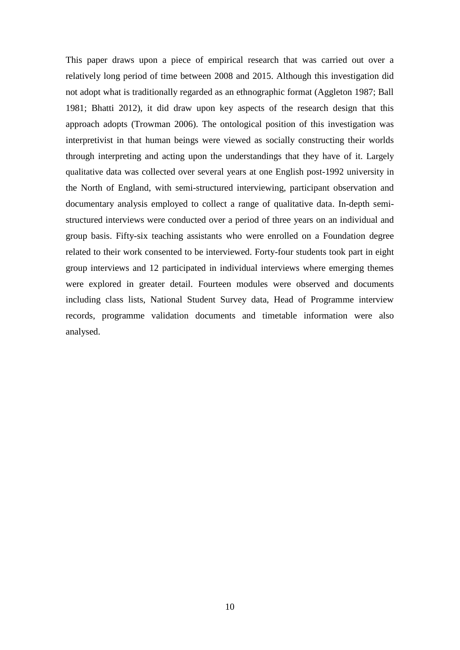This paper draws upon a piece of empirical research that was carried out over a relatively long period of time between 2008 and 2015. Although this investigation did not adopt what is traditionally regarded as an ethnographic format (Aggleton 1987; Ball 1981; Bhatti 2012), it did draw upon key aspects of the research design that this approach adopts (Trowman 2006). The ontological position of this investigation was interpretivist in that human beings were viewed as socially constructing their worlds through interpreting and acting upon the understandings that they have of it. Largely qualitative data was collected over several years at one English post-1992 university in the North of England, with semi-structured interviewing, participant observation and documentary analysis employed to collect a range of qualitative data. In-depth semistructured interviews were conducted over a period of three years on an individual and group basis. Fifty-six teaching assistants who were enrolled on a Foundation degree related to their work consented to be interviewed. Forty-four students took part in eight group interviews and 12 participated in individual interviews where emerging themes were explored in greater detail. Fourteen modules were observed and documents including class lists, National Student Survey data, Head of Programme interview records, programme validation documents and timetable information were also analysed.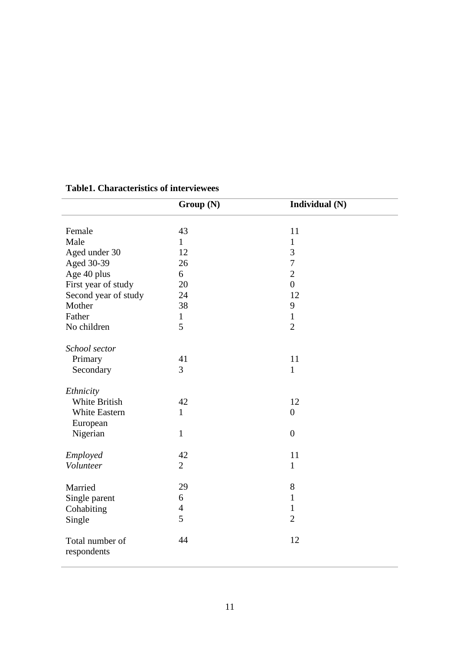|                                | Group (N)      | Individual (N)   |
|--------------------------------|----------------|------------------|
| Female                         | 43             | 11               |
| Male                           | $\mathbf{1}$   | $\mathbf{1}$     |
| Aged under 30                  | 12             | 3                |
| Aged 30-39                     | 26             | $\boldsymbol{7}$ |
| Age 40 plus                    | 6              | $\overline{2}$   |
|                                | 20             | $\overline{0}$   |
| First year of study            |                | 12               |
| Second year of study           | 24<br>38       | 9                |
| Mother                         |                |                  |
| Father                         | $\mathbf{1}$   | $\mathbf{1}$     |
| No children                    | 5              | $\overline{2}$   |
| School sector                  |                |                  |
| Primary                        | 41             | 11               |
| Secondary                      | 3              | $\mathbf{1}$     |
| Ethnicity                      |                |                  |
| White British                  | 42             | 12               |
| White Eastern                  | $\mathbf{1}$   | $\overline{0}$   |
| European                       |                |                  |
|                                | $\mathbf{1}$   | $\boldsymbol{0}$ |
| Nigerian                       |                |                  |
| Employed                       | 42             | 11               |
| Volunteer                      | $\overline{2}$ | $\mathbf{1}$     |
| Married                        | 29             | 8                |
| Single parent                  | 6              | $\mathbf{1}$     |
|                                | $\overline{4}$ | $\mathbf{1}$     |
| Cohabiting                     | 5              | $\overline{2}$   |
| Single                         |                |                  |
| Total number of<br>respondents | 44             | 12               |

## **Table1. Characteristics of interviewees**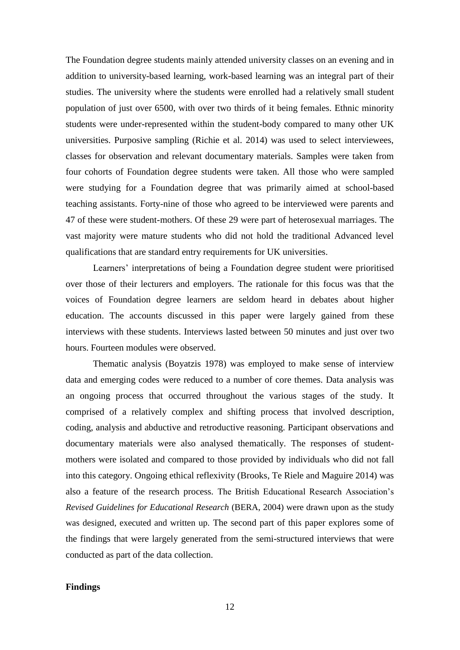The Foundation degree students mainly attended university classes on an evening and in addition to university-based learning, work-based learning was an integral part of their studies. The university where the students were enrolled had a relatively small student population of just over 6500, with over two thirds of it being females. Ethnic minority students were under-represented within the student-body compared to many other UK universities. Purposive sampling (Richie et al. 2014) was used to select interviewees, classes for observation and relevant documentary materials. Samples were taken from four cohorts of Foundation degree students were taken. All those who were sampled were studying for a Foundation degree that was primarily aimed at school-based teaching assistants. Forty-nine of those who agreed to be interviewed were parents and 47 of these were student-mothers. Of these 29 were part of heterosexual marriages. The vast majority were mature students who did not hold the traditional Advanced level qualifications that are standard entry requirements for UK universities.

Learners' interpretations of being a Foundation degree student were prioritised over those of their lecturers and employers. The rationale for this focus was that the voices of Foundation degree learners are seldom heard in debates about higher education. The accounts discussed in this paper were largely gained from these interviews with these students. Interviews lasted between 50 minutes and just over two hours. Fourteen modules were observed.

Thematic analysis (Boyatzis 1978) was employed to make sense of interview data and emerging codes were reduced to a number of core themes. Data analysis was an ongoing process that occurred throughout the various stages of the study. It comprised of a relatively complex and shifting process that involved description, coding, analysis and abductive and retroductive reasoning. Participant observations and documentary materials were also analysed thematically. The responses of studentmothers were isolated and compared to those provided by individuals who did not fall into this category. Ongoing ethical reflexivity (Brooks, Te Riele and Maguire 2014) was also a feature of the research process. The British Educational Research Association's *Revised Guidelines for Educational Research* (BERA, 2004) were drawn upon as the study was designed, executed and written up. The second part of this paper explores some of the findings that were largely generated from the semi-structured interviews that were conducted as part of the data collection.

#### **Findings**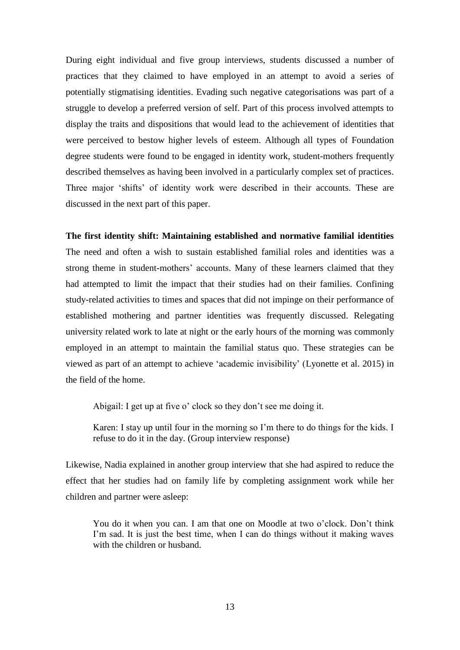During eight individual and five group interviews, students discussed a number of practices that they claimed to have employed in an attempt to avoid a series of potentially stigmatising identities. Evading such negative categorisations was part of a struggle to develop a preferred version of self. Part of this process involved attempts to display the traits and dispositions that would lead to the achievement of identities that were perceived to bestow higher levels of esteem. Although all types of Foundation degree students were found to be engaged in identity work, student-mothers frequently described themselves as having been involved in a particularly complex set of practices. Three major 'shifts' of identity work were described in their accounts. These are discussed in the next part of this paper.

#### **The first identity shift: Maintaining established and normative familial identities**

The need and often a wish to sustain established familial roles and identities was a strong theme in student-mothers' accounts. Many of these learners claimed that they had attempted to limit the impact that their studies had on their families. Confining study-related activities to times and spaces that did not impinge on their performance of established mothering and partner identities was frequently discussed. Relegating university related work to late at night or the early hours of the morning was commonly employed in an attempt to maintain the familial status quo. These strategies can be viewed as part of an attempt to achieve 'academic invisibility' (Lyonette et al. 2015) in the field of the home.

Abigail: I get up at five o' clock so they don't see me doing it.

Karen: I stay up until four in the morning so I'm there to do things for the kids. I refuse to do it in the day. (Group interview response)

Likewise, Nadia explained in another group interview that she had aspired to reduce the effect that her studies had on family life by completing assignment work while her children and partner were asleep:

You do it when you can. I am that one on Moodle at two o'clock. Don't think I'm sad. It is just the best time, when I can do things without it making waves with the children or husband.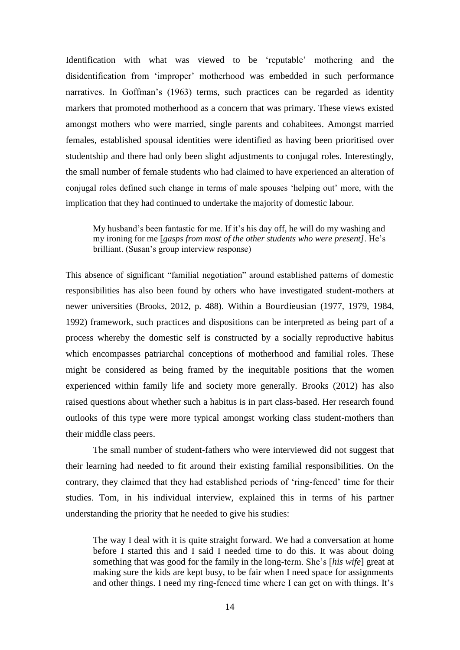Identification with what was viewed to be 'reputable' mothering and the disidentification from 'improper' motherhood was embedded in such performance narratives. In Goffman's (1963) terms, such practices can be regarded as identity markers that promoted motherhood as a concern that was primary. These views existed amongst mothers who were married, single parents and cohabitees. Amongst married females, established spousal identities were identified as having been prioritised over studentship and there had only been slight adjustments to conjugal roles. Interestingly, the small number of female students who had claimed to have experienced an alteration of conjugal roles defined such change in terms of male spouses 'helping out' more, with the implication that they had continued to undertake the majority of domestic labour.

My husband's been fantastic for me. If it's his day off, he will do my washing and my ironing for me [*gasps from most of the other students who were present]*. He's brilliant. (Susan's group interview response)

This absence of significant "familial negotiation" around established patterns of domestic responsibilities has also been found by others who have investigated student-mothers at newer universities (Brooks, 2012, p. 488). Within a Bourdieusian (1977, 1979, 1984, 1992) framework, such practices and dispositions can be interpreted as being part of a process whereby the domestic self is constructed by a socially reproductive habitus which encompasses patriarchal conceptions of motherhood and familial roles. These might be considered as being framed by the inequitable positions that the women experienced within family life and society more generally. Brooks (2012) has also raised questions about whether such a habitus is in part class-based. Her research found outlooks of this type were more typical amongst working class student-mothers than their middle class peers.

The small number of student-fathers who were interviewed did not suggest that their learning had needed to fit around their existing familial responsibilities. On the contrary, they claimed that they had established periods of 'ring-fenced' time for their studies. Tom, in his individual interview, explained this in terms of his partner understanding the priority that he needed to give his studies:

The way I deal with it is quite straight forward. We had a conversation at home before I started this and I said I needed time to do this. It was about doing something that was good for the family in the long-term. She's [*his wife*] great at making sure the kids are kept busy, to be fair when I need space for assignments and other things. I need my ring-fenced time where I can get on with things. It's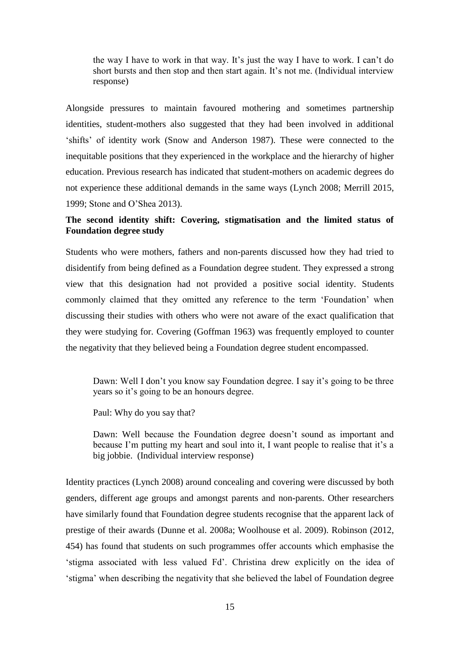the way I have to work in that way. It's just the way I have to work. I can't do short bursts and then stop and then start again. It's not me. (Individual interview response)

Alongside pressures to maintain favoured mothering and sometimes partnership identities, student-mothers also suggested that they had been involved in additional 'shifts' of identity work (Snow and Anderson 1987). These were connected to the inequitable positions that they experienced in the workplace and the hierarchy of higher education. Previous research has indicated that student-mothers on academic degrees do not experience these additional demands in the same ways (Lynch 2008; Merrill 2015, 1999; Stone and O'Shea 2013).

### **The second identity shift: Covering, stigmatisation and the limited status of Foundation degree study**

Students who were mothers, fathers and non-parents discussed how they had tried to disidentify from being defined as a Foundation degree student. They expressed a strong view that this designation had not provided a positive social identity. Students commonly claimed that they omitted any reference to the term 'Foundation' when discussing their studies with others who were not aware of the exact qualification that they were studying for. Covering (Goffman 1963) was frequently employed to counter the negativity that they believed being a Foundation degree student encompassed.

Dawn: Well I don't you know say Foundation degree. I say it's going to be three years so it's going to be an honours degree.

Paul: Why do you say that?

Dawn: Well because the Foundation degree doesn't sound as important and because I'm putting my heart and soul into it, I want people to realise that it's a big jobbie. (Individual interview response)

Identity practices (Lynch 2008) around concealing and covering were discussed by both genders, different age groups and amongst parents and non-parents. Other researchers have similarly found that Foundation degree students recognise that the apparent lack of prestige of their awards (Dunne et al. 2008a; Woolhouse et al. 2009). Robinson (2012, 454) has found that students on such programmes offer accounts which emphasise the 'stigma associated with less valued Fd'. Christina drew explicitly on the idea of 'stigma' when describing the negativity that she believed the label of Foundation degree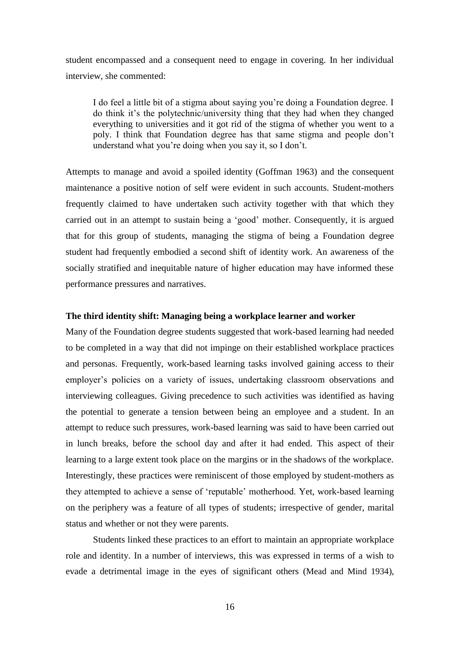student encompassed and a consequent need to engage in covering. In her individual interview, she commented:

I do feel a little bit of a stigma about saying you're doing a Foundation degree. I do think it's the polytechnic/university thing that they had when they changed everything to universities and it got rid of the stigma of whether you went to a poly. I think that Foundation degree has that same stigma and people don't understand what you're doing when you say it, so I don't.

Attempts to manage and avoid a spoiled identity (Goffman 1963) and the consequent maintenance a positive notion of self were evident in such accounts. Student-mothers frequently claimed to have undertaken such activity together with that which they carried out in an attempt to sustain being a 'good' mother. Consequently, it is argued that for this group of students, managing the stigma of being a Foundation degree student had frequently embodied a second shift of identity work. An awareness of the socially stratified and inequitable nature of higher education may have informed these performance pressures and narratives.

#### **The third identity shift: Managing being a workplace learner and worker**

Many of the Foundation degree students suggested that work-based learning had needed to be completed in a way that did not impinge on their established workplace practices and personas. Frequently, work-based learning tasks involved gaining access to their employer's policies on a variety of issues, undertaking classroom observations and interviewing colleagues. Giving precedence to such activities was identified as having the potential to generate a tension between being an employee and a student. In an attempt to reduce such pressures, work-based learning was said to have been carried out in lunch breaks, before the school day and after it had ended. This aspect of their learning to a large extent took place on the margins or in the shadows of the workplace. Interestingly, these practices were reminiscent of those employed by student-mothers as they attempted to achieve a sense of 'reputable' motherhood. Yet, work-based learning on the periphery was a feature of all types of students; irrespective of gender, marital status and whether or not they were parents.

Students linked these practices to an effort to maintain an appropriate workplace role and identity. In a number of interviews, this was expressed in terms of a wish to evade a detrimental image in the eyes of significant others (Mead and Mind 1934),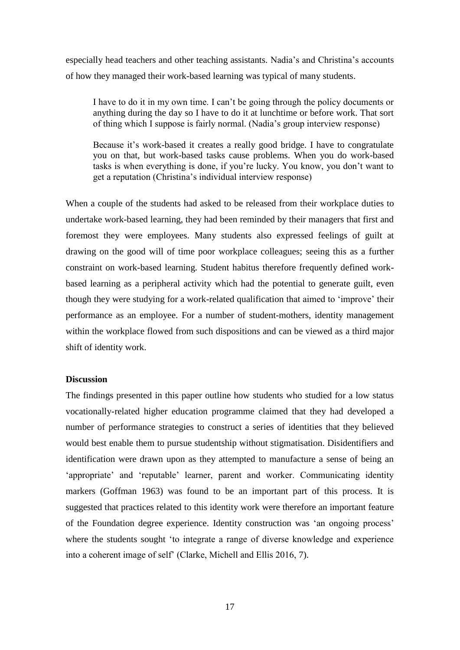especially head teachers and other teaching assistants. Nadia's and Christina's accounts of how they managed their work-based learning was typical of many students.

I have to do it in my own time. I can't be going through the policy documents or anything during the day so I have to do it at lunchtime or before work. That sort of thing which I suppose is fairly normal. (Nadia's group interview response)

Because it's work-based it creates a really good bridge. I have to congratulate you on that, but work-based tasks cause problems. When you do work-based tasks is when everything is done, if you're lucky. You know, you don't want to get a reputation (Christina's individual interview response)

When a couple of the students had asked to be released from their workplace duties to undertake work-based learning, they had been reminded by their managers that first and foremost they were employees. Many students also expressed feelings of guilt at drawing on the good will of time poor workplace colleagues; seeing this as a further constraint on work-based learning. Student habitus therefore frequently defined workbased learning as a peripheral activity which had the potential to generate guilt, even though they were studying for a work-related qualification that aimed to 'improve' their performance as an employee. For a number of student-mothers, identity management within the workplace flowed from such dispositions and can be viewed as a third major shift of identity work.

#### **Discussion**

The findings presented in this paper outline how students who studied for a low status vocationally-related higher education programme claimed that they had developed a number of performance strategies to construct a series of identities that they believed would best enable them to pursue studentship without stigmatisation. Disidentifiers and identification were drawn upon as they attempted to manufacture a sense of being an 'appropriate' and 'reputable' learner, parent and worker. Communicating identity markers (Goffman 1963) was found to be an important part of this process. It is suggested that practices related to this identity work were therefore an important feature of the Foundation degree experience. Identity construction was 'an ongoing process' where the students sought 'to integrate a range of diverse knowledge and experience into a coherent image of self' (Clarke, Michell and Ellis 2016, 7).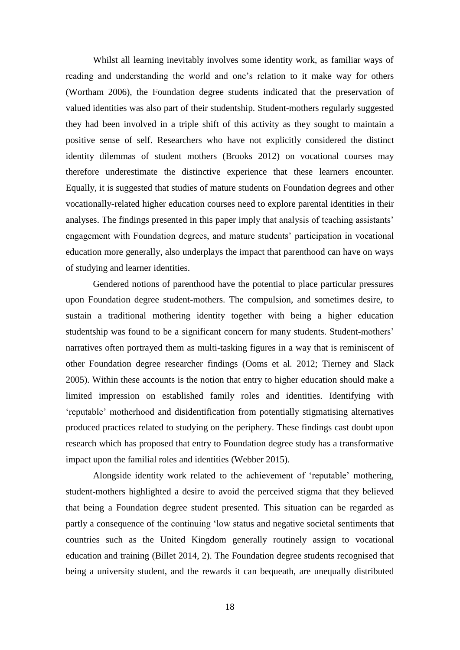Whilst all learning inevitably involves some identity work, as familiar ways of reading and understanding the world and one's relation to it make way for others (Wortham 2006), the Foundation degree students indicated that the preservation of valued identities was also part of their studentship. Student-mothers regularly suggested they had been involved in a triple shift of this activity as they sought to maintain a positive sense of self. Researchers who have not explicitly considered the distinct identity dilemmas of student mothers (Brooks 2012) on vocational courses may therefore underestimate the distinctive experience that these learners encounter. Equally, it is suggested that studies of mature students on Foundation degrees and other vocationally-related higher education courses need to explore parental identities in their analyses. The findings presented in this paper imply that analysis of teaching assistants' engagement with Foundation degrees, and mature students' participation in vocational education more generally, also underplays the impact that parenthood can have on ways of studying and learner identities.

Gendered notions of parenthood have the potential to place particular pressures upon Foundation degree student-mothers. The compulsion, and sometimes desire, to sustain a traditional mothering identity together with being a higher education studentship was found to be a significant concern for many students. Student-mothers' narratives often portrayed them as multi-tasking figures in a way that is reminiscent of other Foundation degree researcher findings (Ooms et al. 2012; Tierney and Slack 2005). Within these accounts is the notion that entry to higher education should make a limited impression on established family roles and identities. Identifying with 'reputable' motherhood and disidentification from potentially stigmatising alternatives produced practices related to studying on the periphery. These findings cast doubt upon research which has proposed that entry to Foundation degree study has a transformative impact upon the familial roles and identities (Webber 2015).

Alongside identity work related to the achievement of 'reputable' mothering, student-mothers highlighted a desire to avoid the perceived stigma that they believed that being a Foundation degree student presented. This situation can be regarded as partly a consequence of the continuing 'low status and negative societal sentiments that countries such as the United Kingdom generally routinely assign to vocational education and training (Billet 2014, 2). The Foundation degree students recognised that being a university student, and the rewards it can bequeath, are unequally distributed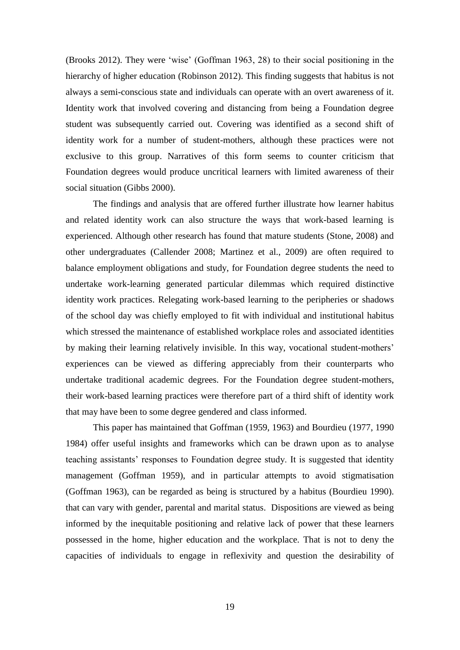(Brooks 2012). They were 'wise' (Goffman 1963, 28) to their social positioning in the hierarchy of higher education (Robinson 2012). This finding suggests that habitus is not always a semi-conscious state and individuals can operate with an overt awareness of it. Identity work that involved covering and distancing from being a Foundation degree student was subsequently carried out. Covering was identified as a second shift of identity work for a number of student-mothers, although these practices were not exclusive to this group. Narratives of this form seems to counter criticism that Foundation degrees would produce uncritical learners with limited awareness of their social situation (Gibbs 2000).

The findings and analysis that are offered further illustrate how learner habitus and related identity work can also structure the ways that work-based learning is experienced. Although other research has found that mature students (Stone, 2008) and other undergraduates (Callender 2008; Martinez et al., 2009) are often required to balance employment obligations and study, for Foundation degree students the need to undertake work-learning generated particular dilemmas which required distinctive identity work practices. Relegating work-based learning to the peripheries or shadows of the school day was chiefly employed to fit with individual and institutional habitus which stressed the maintenance of established workplace roles and associated identities by making their learning relatively invisible. In this way, vocational student-mothers' experiences can be viewed as differing appreciably from their counterparts who undertake traditional academic degrees. For the Foundation degree student-mothers, their work-based learning practices were therefore part of a third shift of identity work that may have been to some degree gendered and class informed.

This paper has maintained that Goffman (1959, 1963) and Bourdieu (1977, 1990 1984) offer useful insights and frameworks which can be drawn upon as to analyse teaching assistants' responses to Foundation degree study. It is suggested that identity management (Goffman 1959), and in particular attempts to avoid stigmatisation (Goffman 1963), can be regarded as being is structured by a habitus (Bourdieu 1990). that can vary with gender, parental and marital status. Dispositions are viewed as being informed by the inequitable positioning and relative lack of power that these learners possessed in the home, higher education and the workplace. That is not to deny the capacities of individuals to engage in reflexivity and question the desirability of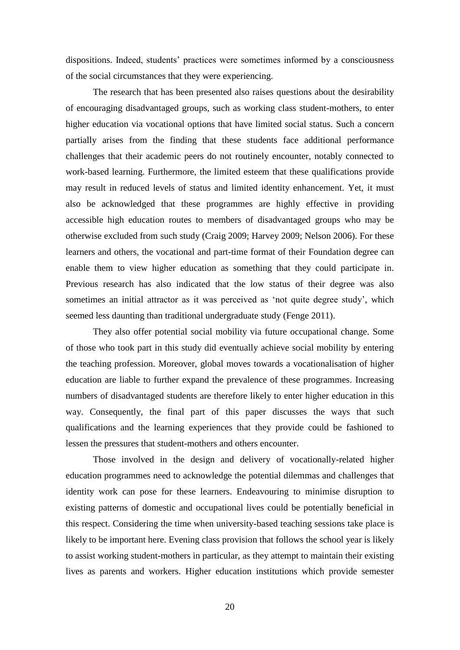dispositions. Indeed, students' practices were sometimes informed by a consciousness of the social circumstances that they were experiencing.

The research that has been presented also raises questions about the desirability of encouraging disadvantaged groups, such as working class student-mothers, to enter higher education via vocational options that have limited social status. Such a concern partially arises from the finding that these students face additional performance challenges that their academic peers do not routinely encounter, notably connected to work-based learning. Furthermore, the limited esteem that these qualifications provide may result in reduced levels of status and limited identity enhancement. Yet, it must also be acknowledged that these programmes are highly effective in providing accessible high education routes to members of disadvantaged groups who may be otherwise excluded from such study (Craig 2009; Harvey 2009; Nelson 2006). For these learners and others, the vocational and part-time format of their Foundation degree can enable them to view higher education as something that they could participate in. Previous research has also indicated that the low status of their degree was also sometimes an initial attractor as it was perceived as 'not quite degree study', which seemed less daunting than traditional undergraduate study (Fenge 2011).

They also offer potential social mobility via future occupational change. Some of those who took part in this study did eventually achieve social mobility by entering the teaching profession. Moreover, global moves towards a vocationalisation of higher education are liable to further expand the prevalence of these programmes. Increasing numbers of disadvantaged students are therefore likely to enter higher education in this way. Consequently, the final part of this paper discusses the ways that such qualifications and the learning experiences that they provide could be fashioned to lessen the pressures that student-mothers and others encounter.

Those involved in the design and delivery of vocationally-related higher education programmes need to acknowledge the potential dilemmas and challenges that identity work can pose for these learners. Endeavouring to minimise disruption to existing patterns of domestic and occupational lives could be potentially beneficial in this respect. Considering the time when university-based teaching sessions take place is likely to be important here. Evening class provision that follows the school year is likely to assist working student-mothers in particular, as they attempt to maintain their existing lives as parents and workers. Higher education institutions which provide semester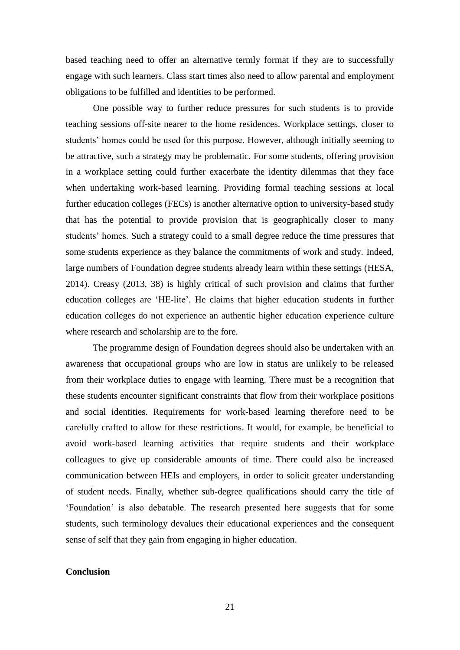based teaching need to offer an alternative termly format if they are to successfully engage with such learners. Class start times also need to allow parental and employment obligations to be fulfilled and identities to be performed.

One possible way to further reduce pressures for such students is to provide teaching sessions off-site nearer to the home residences. Workplace settings, closer to students' homes could be used for this purpose. However, although initially seeming to be attractive, such a strategy may be problematic. For some students, offering provision in a workplace setting could further exacerbate the identity dilemmas that they face when undertaking work-based learning. Providing formal teaching sessions at local further education colleges (FECs) is another alternative option to university-based study that has the potential to provide provision that is geographically closer to many students' homes. Such a strategy could to a small degree reduce the time pressures that some students experience as they balance the commitments of work and study. Indeed, large numbers of Foundation degree students already learn within these settings (HESA, 2014). Creasy (2013, 38) is highly critical of such provision and claims that further education colleges are 'HE-lite'. He claims that higher education students in further education colleges do not experience an authentic higher education experience culture where research and scholarship are to the fore.

The programme design of Foundation degrees should also be undertaken with an awareness that occupational groups who are low in status are unlikely to be released from their workplace duties to engage with learning. There must be a recognition that these students encounter significant constraints that flow from their workplace positions and social identities. Requirements for work-based learning therefore need to be carefully crafted to allow for these restrictions. It would, for example, be beneficial to avoid work-based learning activities that require students and their workplace colleagues to give up considerable amounts of time. There could also be increased communication between HEIs and employers, in order to solicit greater understanding of student needs. Finally, whether sub-degree qualifications should carry the title of 'Foundation' is also debatable. The research presented here suggests that for some students, such terminology devalues their educational experiences and the consequent sense of self that they gain from engaging in higher education.

#### **Conclusion**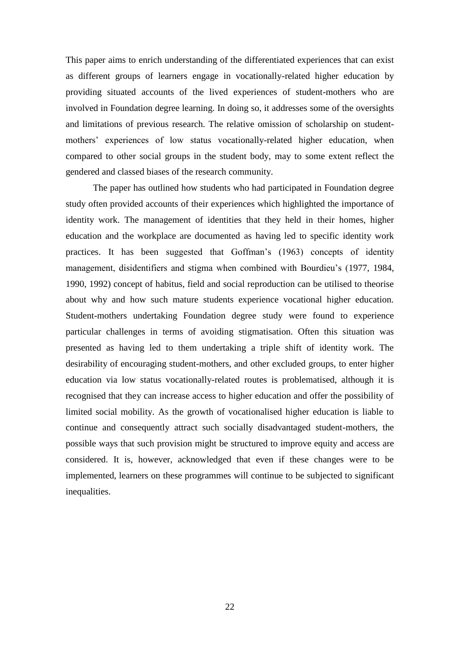This paper aims to enrich understanding of the differentiated experiences that can exist as different groups of learners engage in vocationally-related higher education by providing situated accounts of the lived experiences of student-mothers who are involved in Foundation degree learning. In doing so, it addresses some of the oversights and limitations of previous research. The relative omission of scholarship on studentmothers' experiences of low status vocationally-related higher education, when compared to other social groups in the student body, may to some extent reflect the gendered and classed biases of the research community.

The paper has outlined how students who had participated in Foundation degree study often provided accounts of their experiences which highlighted the importance of identity work. The management of identities that they held in their homes, higher education and the workplace are documented as having led to specific identity work practices. It has been suggested that Goffman's (1963) concepts of identity management, disidentifiers and stigma when combined with Bourdieu's (1977, 1984, 1990, 1992) concept of habitus, field and social reproduction can be utilised to theorise about why and how such mature students experience vocational higher education. Student-mothers undertaking Foundation degree study were found to experience particular challenges in terms of avoiding stigmatisation. Often this situation was presented as having led to them undertaking a triple shift of identity work. The desirability of encouraging student-mothers, and other excluded groups, to enter higher education via low status vocationally-related routes is problematised, although it is recognised that they can increase access to higher education and offer the possibility of limited social mobility. As the growth of vocationalised higher education is liable to continue and consequently attract such socially disadvantaged student-mothers, the possible ways that such provision might be structured to improve equity and access are considered. It is, however, acknowledged that even if these changes were to be implemented, learners on these programmes will continue to be subjected to significant inequalities.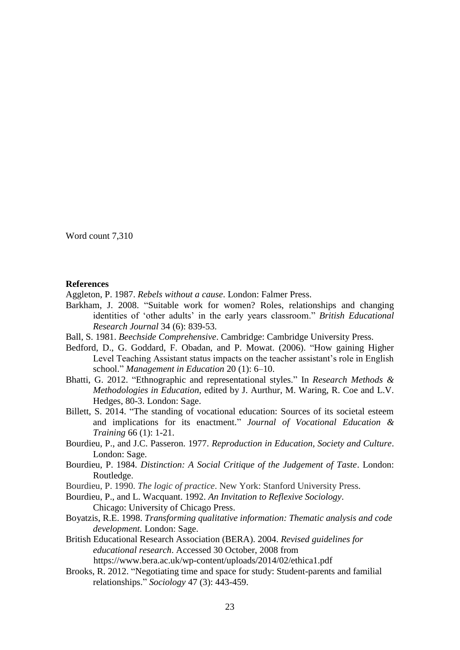Word count 7,310

#### **References**

- Aggleton, P. 1987. *Rebels without a cause*. London: Falmer Press.
- Barkham, J. 2008. "Suitable work for women? Roles, relationships and changing identities of 'other adults' in the early years classroom." *British Educational Research Journal* 34 (6): 839-53.
- Ball, S. 1981. *Beechside Comprehensive*. Cambridge: Cambridge University Press.
- Bedford, D., G. Goddard, F. Obadan, and P. Mowat. (2006). "How gaining Higher Level Teaching Assistant status impacts on the teacher assistant's role in English school." *Management in Education* 20 (1): 6–10.
- Bhatti, G. 2012. "Ethnographic and representational styles." In *Research Methods & Methodologies in Education*, edited by J. Aurthur, M. Waring, R. Coe and L.V. Hedges, 80-3. London: Sage.
- Billett, S. 2014. "The standing of vocational education: Sources of its societal esteem and implications for its enactment." *Journal of Vocational Education & Training* 66 (1): 1-21.
- Bourdieu, P., and J.C. Passeron. 1977. *Reproduction in Education, Society and Culture*. London: Sage.
- Bourdieu, P. 1984*. Distinction: A Social Critique of the Judgement of Taste*. London: Routledge.
- Bourdieu, P. 1990. *The logic of practice*. New York: Stanford University Press.
- Bourdieu, P., and L. Wacquant. 1992. *An Invitation to Reflexive Sociology*. Chicago: University of Chicago Press.
- Boyatzis, R.E. 1998. *Transforming qualitative information: Thematic analysis and code development.* London: Sage.
- British Educational Research Association (BERA). 2004. *Revised guidelines for educational research*. Accessed 30 October, 2008 from https://www.bera.ac.uk/wp-content/uploads/2014/02/ethica1.pdf
- Brooks, R. 2012. "Negotiating time and space for study: Student-parents and familial relationships." *Sociology* 47 (3): 443-459.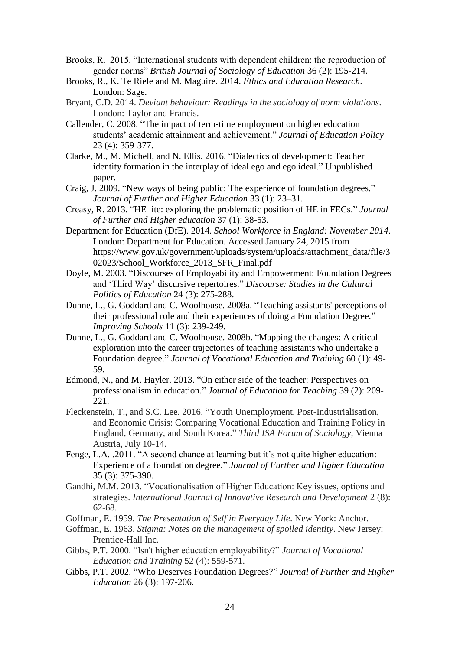- Brooks, R. 2015. "International students with dependent children: the reproduction of gender norms" *British Journal of Sociology of Education* 36 (2): 195-214.
- Brooks, R., K. Te Riele and M. Maguire. 2014. *Ethics and Education Research*. London: Sage.
- Bryant, C.D. 2014. *Deviant behaviour: Readings in the sociology of norm violations*. London: Taylor and Francis.
- Callender, C. 2008. "The impact of term-time employment on higher education students' academic attainment and achievement." *Journal of Education Policy* 23 (4): 359-377.
- Clarke, M., M. Michell, and N. Ellis. 2016. "Dialectics of development: Teacher identity formation in the interplay of ideal ego and ego ideal." Unpublished paper.
- Craig, J. 2009. "New ways of being public: The experience of foundation degrees." *Journal of Further and Higher Education* 33 (1): 23–31.
- Creasy, R. 2013. "HE lite: exploring the problematic position of HE in FECs." *Journal of Further and Higher education* 37 (1): 38-53.
- Department for Education (DfE). 2014. *School Workforce in England: November 2014*. London: Department for Education. Accessed January 24, 2015 from https://www.gov.uk/government/uploads/system/uploads/attachment\_data/file/3 02023/School\_Workforce\_2013\_SFR\_Final.pdf
- Doyle, M. 2003. "Discourses of Employability and Empowerment: Foundation Degrees and 'Third Way' discursive repertoires." *Discourse: Studies in the Cultural Politics of Education* 24 (3): 275-288.
- Dunne, L., G. Goddard and C. Woolhouse. 2008a. "Teaching assistants' perceptions of their professional role and their experiences of doing a Foundation Degree." *Improving Schools* 11 (3): 239-249.
- Dunne, L., G. Goddard and C. Woolhouse. 2008b. "Mapping the changes: A critical exploration into the career trajectories of teaching assistants who undertake a Foundation degree." *Journal of Vocational Education and Training* 60 (1): 49- 59.
- Edmond, N., and M. Hayler. 2013. "On either side of the teacher: Perspectives on professionalism in education." *Journal of Education for Teaching* 39 (2): 209- 221.
- Fleckenstein, T., and S.C. Lee. 2016. "Youth Unemployment, Post-Industrialisation, and Economic Crisis: Comparing Vocational Education and Training Policy in England, Germany, and South Korea." *Third ISA Forum of Sociology*, Vienna Austria, July 10-14.
- Fenge, L.A. .2011. "A second chance at learning but it's not quite higher education: Experience of a foundation degree." *Journal of Further and Higher Education* 35 (3): 375-390.
- Gandhi, M.M. 2013. "Vocationalisation of Higher Education: Key issues, options and strategies. *International Journal of Innovative Research and Development* 2 (8): 62-68.
- Goffman, E. 1959. *The Presentation of Self in Everyday Life*. New York: Anchor.
- Goffman, E. 1963. *Stigma: Notes on the management of spoiled identity*. New Jersey: Prentice-Hall Inc.
- Gibbs, P.T. 2000. "Isn't higher education employability?" *Journal of Vocational Education and Training* 52 (4): 559-571.
- Gibbs, P.T. 2002. "Who Deserves Foundation Degrees?" *Journal of Further and Higher Education* 26 (3): 197-206.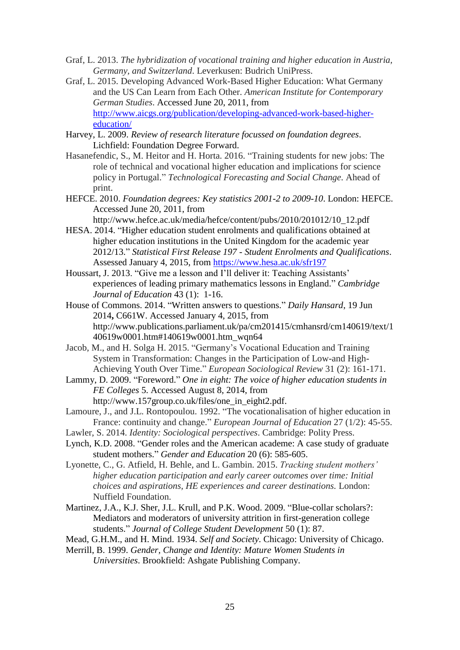- Graf, L. 2013. *The hybridization of vocational training and higher education in Austria, Germany, and Switzerland*. Leverkusen: Budrich UniPress.
- Graf, L. 2015. Developing Advanced Work-Based Higher Education: What Germany and the US Can Learn from Each Other. *American Institute for Contemporary German Studies*. Accessed June 20, 2011, from [http://www.aicgs.org/publication/developing-advanced-work-based-higher](http://www.aicgs.org/publication/developing-advanced-work-based-higher-education/)[education/](http://www.aicgs.org/publication/developing-advanced-work-based-higher-education/)
- Harvey, L. 2009. *Review of research literature focussed on foundation degrees*. Lichfield: Foundation Degree Forward.
- Hasanefendic, S., M. Heitor and H. Horta. 2016. "Training students for new jobs: The role of technical and vocational higher education and implications for science policy in Portugal." *Technological Forecasting and Social Change.* Ahead of print.
- HEFCE. 2010. *Foundation degrees: Key statistics 2001-2 to 2009-10*. London: HEFCE. Accessed June 20, 2011, from

http://www.hefce.ac.uk/media/hefce/content/pubs/2010/201012/10\_12.pdf

- HESA. 2014. "Higher education student enrolments and qualifications obtained at higher education institutions in the United Kingdom for the academic year 2012/13." *Statistical First Release 197 - Student Enrolments and Qualifications*. Assessed January 4, 2015, from<https://www.hesa.ac.uk/sfr197>
- Houssart, J. 2013. "Give me a lesson and I'll deliver it: Teaching Assistants' experiences of leading primary mathematics lessons in England." *Cambridge Journal of Education* 43 (1): 1-16.
- House of Commons. 2014. "Written answers to questions." *Daily Hansard*, 19 Jun 2014**,** C661W. Accessed January 4, 2015, from http://www.publications.parliament.uk/pa/cm201415/cmhansrd/cm140619/text/1 40619w0001.htm#140619w0001.htm\_wqn64
- Jacob, M., and H. Solga H. 2015. "Germany's Vocational Education and Training System in Transformation: Changes in the Participation of Low-and High-Achieving Youth Over Time." *European Sociological Review* 31 (2): 161-171.
- Lammy, D. 2009. "Foreword." *One in eight: The voice of higher education students in FE Colleges* 5. Accessed August 8, 2014, from

http://www.157group.co.uk/files/one\_in\_eight2.pdf.

- Lamoure, J., and J.L. Rontopoulou. 1992. "The vocationalisation of higher education in France: continuity and change." *European Journal of Education* 27 (1/2): 45-55.
- Lawler, S. 2014. *Identity: Sociological perspectives*. Cambridge: Polity Press.
- Lynch, K.D. 2008. "Gender roles and the American academe: A case study of graduate student mothers." *Gender and Education* 20 (6): 585-605.
- Lyonette, C., G. Atfield, H. Behle, and L. Gambin. 2015. *Tracking student mothers' higher education participation and early career outcomes over time: Initial choices and aspirations, HE experiences and career destinations.* London: Nuffield Foundation.
- Martinez, J.A., K.J. Sher, J.L. Krull, and P.K. Wood. 2009. "Blue-collar scholars?: Mediators and moderators of university attrition in first-generation college students." *Journal of College Student Development* 50 (1): 87.
- Mead, G.H.M., and H. Mind. 1934. *Self and Society*. Chicago: University of Chicago.
- Merrill, B. 1999. *Gender, Change and Identity: Mature Women Students in Universities*. Brookfield: Ashgate Publishing Company.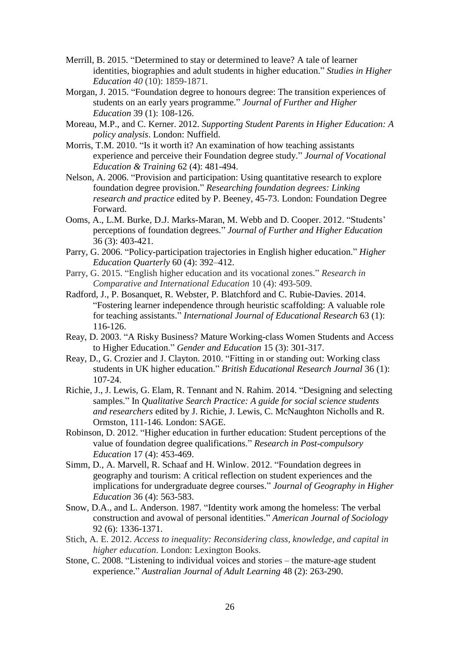- Merrill, B. 2015. "Determined to stay or determined to leave? A tale of learner identities, biographies and adult students in higher education." *Studies in Higher Education 40* (10): 1859-1871.
- Morgan, J. 2015. "Foundation degree to honours degree: The transition experiences of students on an early years programme." *Journal of Further and Higher Education* 39 (1): 108-126.
- Moreau, M.P., and C. Kerner. 2012. *Supporting Student Parents in Higher Education: A policy analysis*. London: Nuffield.
- Morris, T.M. 2010. "Is it worth it? An examination of how teaching assistants experience and perceive their Foundation degree study." *Journal of Vocational Education & Training* 62 (4): 481-494.
- Nelson, A. 2006. "Provision and participation: Using quantitative research to explore foundation degree provision." *Researching foundation degrees: Linking research and practice* edited by P. Beeney, 45-73. London: Foundation Degree Forward.
- Ooms, A., L.M. Burke, D.J. Marks-Maran, M. Webb and D. Cooper. 2012. "Students' perceptions of foundation degrees." *Journal of Further and Higher Education* 36 (3): 403-421.
- Parry, G. 2006. "Policy-participation trajectories in English higher education." *Higher Education Quarterly* 60 (4): 392–412.
- Parry, G. 2015. "English higher education and its vocational zones." *Research in Comparative and International Education* 10 (4): 493-509.
- Radford, J., P. Bosanquet, R. Webster, P. Blatchford and C. Rubie-Davies. 2014. "Fostering learner independence through heuristic scaffolding: A valuable role for teaching assistants." *International Journal of Educational Research* 63 (1): 116-126.
- Reay, D. 2003. "A Risky Business? Mature Working-class Women Students and Access to Higher Education." *Gender and Education* 15 (3): 301-317.
- Reay, D., G. Crozier and J. Clayton. 2010. "Fitting in or standing out: Working class students in UK higher education." *British Educational Research Journal* 36 (1): 107-24.
- Richie, J., J. Lewis, G. Elam, R. Tennant and N. Rahim. 2014. "Designing and selecting samples." In *Qualitative Search Practice: A guide for social science students and researchers* edited by J. Richie, J. Lewis, C. McNaughton Nicholls and R. Ormston, 111-146*.* London: SAGE.
- Robinson, D. 2012. "Higher education in further education: Student perceptions of the value of foundation degree qualifications." *Research in Post-compulsory Education* 17 (4): 453-469.
- Simm, D., A. Marvell, R. Schaaf and H. Winlow. 2012. "Foundation degrees in geography and tourism: A critical reflection on student experiences and the implications for undergraduate degree courses." *Journal of Geography in Higher Education* 36 (4): 563-583.
- Snow, D.A., and L. Anderson. 1987. "Identity work among the homeless: The verbal construction and avowal of personal identities." *American Journal of Sociology* 92 (6): 1336-1371.
- Stich, A. E. 2012. *Access to inequality: Reconsidering class, knowledge, and capital in higher education*. London: Lexington Books.
- Stone, C. 2008. "Listening to individual voices and stories the mature-age student experience." *Australian Journal of Adult Learning* 48 (2): 263-290.